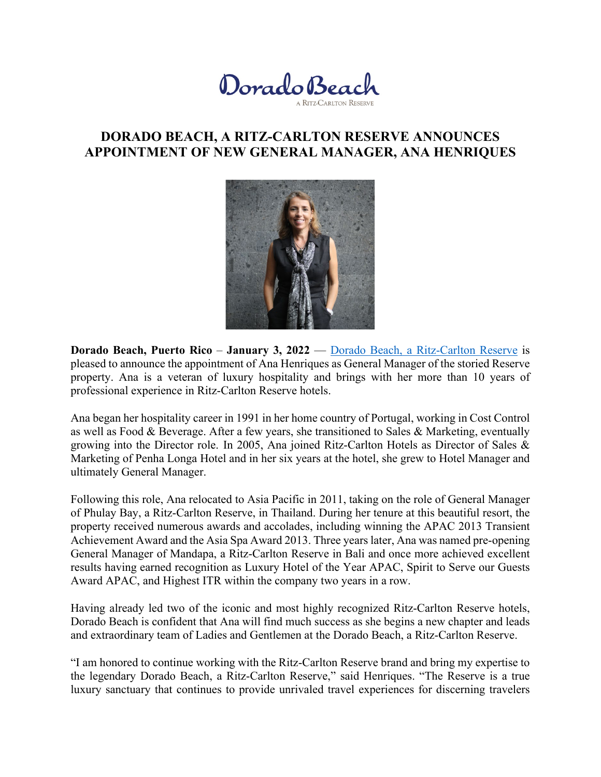

## **DORADO BEACH, A RITZ-CARLTON RESERVE ANNOUNCES APPOINTMENT OF NEW GENERAL MANAGER, ANA HENRIQUES**



 **Dorado Beach, Puerto Rico** – **January 3, 2022** — Dorado Beach, a Ritz-Carlton Reserve is property. Ana is a veteran of luxury hospitality and brings with her more than 10 years of professional experience in Ritz-Carlton Reserve hotels. pleased to announce the appointment of Ana Henriques as General Manager of the storied Reserve

 Marketing of Penha Longa Hotel and in her six years at the hotel, she grew to Hotel Manager and Ana began her hospitality career in 1991 in her home country of Portugal, working in Cost Control as well as Food & Beverage. After a few years, she transitioned to Sales & Marketing, eventually growing into the Director role. In 2005, Ana joined Ritz-Carlton Hotels as Director of Sales & ultimately General Manager.

 Following this role, Ana relocated to Asia Pacific in 2011, taking on the role of General Manager of Phulay Bay, a Ritz-Carlton Reserve, in Thailand. During her tenure at this beautiful resort, the Award APAC, and Highest ITR within the company two years in a row. property received numerous awards and accolades, including winning the APAC 2013 Transient Achievement Award and the Asia Spa Award 2013. Three years later, Ana was named pre-opening General Manager of Mandapa, a Ritz-Carlton Reserve in Bali and once more achieved excellent results having earned recognition as Luxury Hotel of the Year APAC, Spirit to Serve our Guests

and extraordinary team of Ladies and Gentlemen at the Dorado Beach, a Ritz-Carlton Reserve. Having already led two of the iconic and most highly recognized Ritz-Carlton Reserve hotels, Dorado Beach is confident that Ana will find much success as she begins a new chapter and leads

"I am honored to continue working with the Ritz-Carlton Reserve brand and bring my expertise to the legendary Dorado Beach, a Ritz-Carlton Reserve," said Henriques. "The Reserve is a true luxury sanctuary that continues to provide unrivaled travel experiences for discerning travelers